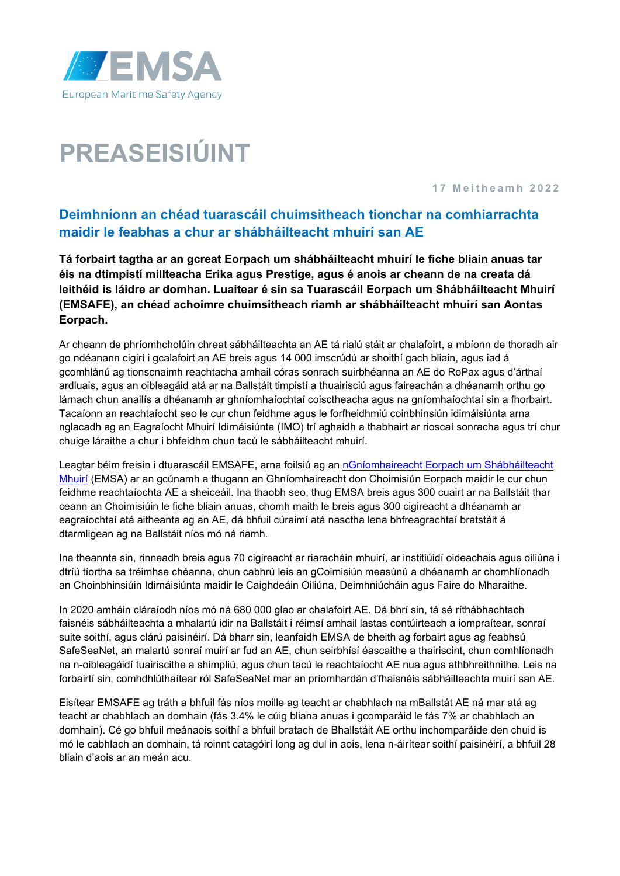

# **PREASEISIÚINT**

**1 7 Meitheamh 2022**

# **Deimhníonn an chéad tuarascáil chuimsitheach tionchar na comhiarrachta maidir le feabhas a chur ar shábháilteacht mhuirí san AE**

**Tá forbairt tagtha ar an gcreat Eorpach um shábháilteacht mhuirí le fiche bliain anuas tar éis na dtimpistí millteacha Erika agus Prestige, agus é anois ar cheann de na creata dá leithéid is láidre ar domhan. Luaitear é sin sa Tuarascáil Eorpach um Shábháilteacht Mhuirí (EMSAFE), an chéad achoimre chuimsitheach riamh ar shábháilteacht mhuirí san Aontas Eorpach.**

Ar cheann de phríomhcholúin chreat sábháilteachta an AE tá rialú stáit ar chalafoirt, a mbíonn de thoradh air go ndéanann cigirí i gcalafoirt an AE breis agus 14 000 imscrúdú ar shoithí gach bliain, agus iad á gcomhlánú ag tionscnaimh reachtacha amhail córas sonrach suirbhéanna an AE do RoPax agus d'árthaí ardluais, agus an oibleagáid atá ar na Ballstáit timpistí a thuairisciú agus faireachán a dhéanamh orthu go lárnach chun anailís a dhéanamh ar ghníomhaíochtaí coisctheacha agus na gníomhaíochtaí sin a fhorbairt. Tacaíonn an reachtaíocht seo le cur chun feidhme agus le forfheidhmiú coinbhinsiún idirnáisiúnta arna nglacadh ag an Eagraíocht Mhuirí Idirnáisiúnta (IMO) trí aghaidh a thabhairt ar rioscaí sonracha agus trí chur chuige láraithe a chur i bhfeidhm chun tacú le sábháilteacht mhuirí.

Leagtar béim freisin i dtuarascáil EMSAFE, arna foilsiú ag an nGníomhaireacht Eorpach um Shábháilteacht [Mhuirí](http://www.emsa.europa.eu/) (EMSA) ar an gcúnamh a thugann an Ghníomhaireacht don Choimisiún Eorpach maidir le cur chun feidhme reachtaíochta AE a sheiceáil. Ina thaobh seo, thug EMSA breis agus 300 cuairt ar na Ballstáit thar ceann an Choimisiúin le fiche bliain anuas, chomh maith le breis agus 300 cigireacht a dhéanamh ar eagraíochtaí atá aitheanta ag an AE, dá bhfuil cúraimí atá nasctha lena bhfreagrachtaí bratstáit á dtarmligean ag na Ballstáit níos mó ná riamh.

Ina theannta sin, rinneadh breis agus 70 cigireacht ar riaracháin mhuirí, ar institiúidí oideachais agus oiliúna i dtríú tíortha sa tréimhse chéanna, chun cabhrú leis an gCoimisiún measúnú a dhéanamh ar chomhlíonadh an Choinbhinsiúin Idirnáisiúnta maidir le Caighdeáin Oiliúna, Deimhniúcháin agus Faire do Mharaithe.

In 2020 amháin cláraíodh níos mó ná 680 000 glao ar chalafoirt AE. Dá bhrí sin, tá sé ríthábhachtach faisnéis sábháilteachta a mhalartú idir na Ballstáit i réimsí amhail lastas contúirteach a iompraítear, sonraí suite soithí, agus clárú paisinéirí. Dá bharr sin, leanfaidh EMSA de bheith ag forbairt agus ag feabhsú SafeSeaNet, an malartú sonraí muirí ar fud an AE, chun seirbhísí éascaithe a thairiscint, chun comhlíonadh na n-oibleagáidí tuairiscithe a shimpliú, agus chun tacú le reachtaíocht AE nua agus athbhreithnithe. Leis na forbairtí sin, comhdhlúthaítear ról SafeSeaNet mar an príomhardán d'fhaisnéis sábháilteachta muirí san AE.

Eisítear EMSAFE ag tráth a bhfuil fás níos moille ag teacht ar chabhlach na mBallstát AE ná mar atá ag teacht ar chabhlach an domhain (fás 3.4% le cúig bliana anuas i gcomparáid le fás 7% ar chabhlach an domhain). Cé go bhfuil meánaois soithí a bhfuil bratach de Bhallstáit AE orthu inchomparáide den chuid is mó le cabhlach an domhain, tá roinnt catagóirí long ag dul in aois, lena n-áirítear soithí paisinéirí, a bhfuil 28 bliain d'aois ar an meán acu.